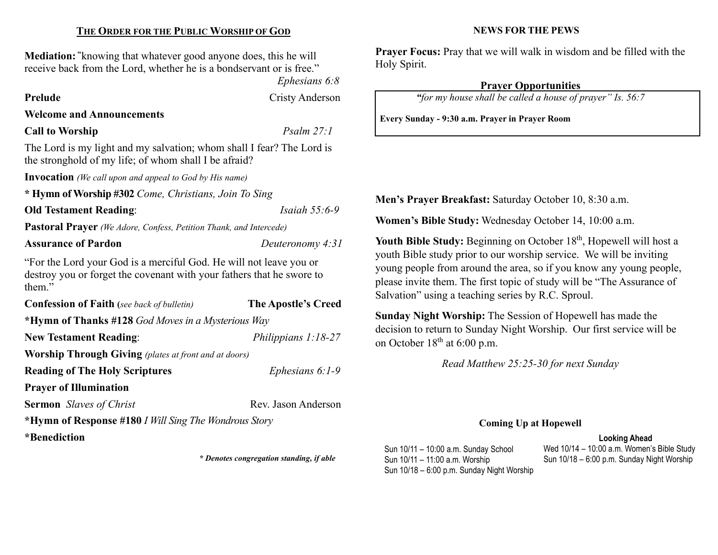# THE ORDER FOR THE PUBLIC WORSHIP OF GOD

Mediation: "knowing that whatever good anyone does, this he will receive back from the Lord, whether he is a bondservant or is free."

Ephesians 6:8

Prelude Cristy Anderson

## Welcome and Announcements

# Call to Worship Psalm 27:1

The Lord is my light and my salvation; whom shall I fear? The Lord is the stronghold of my life; of whom shall I be afraid?

Invocation (We call upon and appeal to God by His name)

\* Hymn of Worship #302 Come, Christians, Join To Sing

**Old Testament Reading:** *Isaiah 55:6-9* 

Pastoral Prayer (We Adore, Confess, Petition Thank, and Intercede)

Assurance of Pardon Deuteronomy 4:31

"For the Lord your God is a merciful God. He will not leave you or destroy you or forget the covenant with your fathers that he swore to them."

| <b>Confession of Faith</b> (see back of bulletin)            | <b>The Apostle's Creed</b> |  |  |  |
|--------------------------------------------------------------|----------------------------|--|--|--|
| *Hymn of Thanks #128 God Moves in a Mysterious Way           |                            |  |  |  |
| <b>New Testament Reading:</b>                                | Philippians 1:18-27        |  |  |  |
| <b>Worship Through Giving</b> (plates at front and at doors) |                            |  |  |  |
| <b>Reading of The Holy Scriptures</b>                        | Ephesians $6:1-9$          |  |  |  |
| <b>Prayer of Illumination</b>                                |                            |  |  |  |
| <b>Sermon</b> Slaves of Christ                               | Rev. Jason Anderson        |  |  |  |
| *Hymn of Response #180 I Will Sing The Wondrous Story        |                            |  |  |  |
| *Benediction                                                 |                            |  |  |  |

\* Denotes congregation standing, if able

#### NEWS FOR THE PEWS

Prayer Focus: Pray that we will walk in wisdom and be filled with the Holy Spirit.

## Prayer Opportunities

"for my house shall be called a house of prayer" Is. 56:7

Every Sunday - 9:30 a.m. Prayer in Prayer Room

Men's Prayer Breakfast: Saturday October 10, 8:30 a.m.

Women's Bible Study: Wednesday October 14, 10:00 a.m.

Youth Bible Study: Beginning on October 18<sup>th</sup>, Hopewell will host a youth Bible study prior to our worship service. We will be inviting young people from around the area, so if you know any young people, please invite them. The first topic of study will be "The Assurance of Salvation" using a teaching series by R.C. Sproul.

Sunday Night Worship: The Session of Hopewell has made the decision to return to Sunday Night Worship. Our first service will be on October  $18<sup>th</sup>$  at 6:00 p.m.

Read Matthew 25:25-30 for next Sunday

#### Coming Up at Hopewell

#### Looking Ahead

Sun 10/11 – 10:00 a.m. Sunday School Sun 10/11 – 11:00 a.m. Worship Sun 10/18 – 6:00 p.m. Sunday Night Worship Wed 10/14 – 10:00 a.m. Women's Bible Study Sun 10/18 – 6:00 p.m. Sunday Night Worship